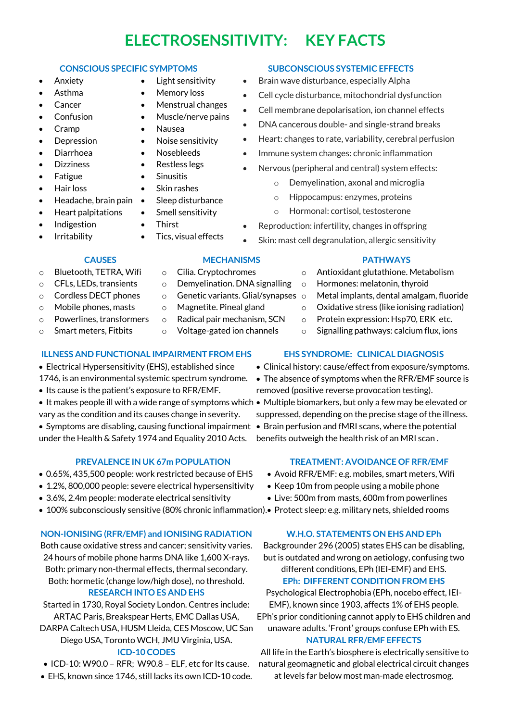# **ELECTROSENSITIVITY: KEY FACTS**

- Anxiety
- Asthma
- **Cancer**
- **Confusion**
- Cramp
- Depression
- Diarrhoea
- Dizziness
- **Fatigue**
- Hair loss
- Headache, brain pain
- Heart palpitations
- Indigestion
- **Irritability**
- Smell sensitivity • Thirst
	- Tics, visual effects

• Light sensitivity • Memory loss • Menstrual changes • Muscle/nerve pains

• Nausea • Noise sensitivity • Nosebleeds • Restless legs • Sinusitis • Skin rashes • Sleep disturbance

#### **CONSCIOUS SPECIFIC SYMPTOMS SUBCONSCIOUS SYSTEMIC EFFECTS**

- Brain wave disturbance, especially Alpha
- Cell cycle disturbance, mitochondrial dysfunction
- Cell membrane depolarisation, ion channel effects
- DNA cancerous double- and single-strand breaks
- Heart: changes to rate, variability, cerebral perfusion
- Immune system changes: chronic inflammation
- Nervous (peripheral and central) system effects:
	- o Demyelination, axonal and microglia
	- o Hippocampus: enzymes, proteins
	- o Hormonal: cortisol, testosterone
- Reproduction: infertility, changes in offspring
- Skin: mast cell degranulation, allergic sensitivity

#### **CAUSES**

- o Bluetooth, TETRA, Wifi
- o CFLs, LEDs, transients
- o Cordless DECT phones
- o Mobile phones, masts
- o Powerlines, transformers o Smart meters, Fitbits
	-

#### **ILLNESS AND FUNCTIONAL IMPAIRMENT FROM EHS**

- Electrical Hypersensitivity (EHS), established since
- 1746, is an environmental systemic spectrum syndrome.
- Its cause is the patient's exposure to RFR/EMF.
- It makes people ill with a wide range of symptoms which Multiple biomarkers, but only a few may be elevated or vary as the condition and its causes change in severity.

• Symptoms are disabling, causing functional impairment • Brain perfusion and fMRI scans, where the potential under the Health & Safety 1974 and Equality 2010 Acts.

#### **PREVALENCE IN UK 67m POPULATION**

- 0.65%, 435,500 people: work restricted because of EHS
- 1.2%, 800,000 people: severe electrical hypersensitivity
- 3.6%, 2.4m people: moderate electrical sensitivity
- 100% subconsciously sensitive (80% chronic inflammation). Protect sleep: e.g. military nets, shielded rooms

## **NON-IONISING (RFR/EMF) and IONISING RADIATION**

Both cause oxidative stress and cancer; sensitivity varies. 24 hours of mobile phone harms DNA like 1,600 X-rays. Both: primary non-thermal effects, thermal secondary. Both: hormetic (change low/high dose), no threshold. **RESEARCH INTO ES AND EHS**

Started in 1730, Royal Society London. Centres include: ARTAC Paris, Breakspear Herts, EMC Dallas USA,

DARPA Caltech USA, HUSM Lleida, CES Moscow, UC San Diego USA, Toronto WCH, JMU Virginia, USA.

### **ICD-10 CODES**

- ICD-10: W90.0 RFR; W90.8 ELF, etc for Its cause.
- EHS, known since 1746, still lacks its own ICD-10 code.

## **EHS SYNDROME: CLINICAL DIAGNOSIS**

- Clinical history: cause/effect from exposure/symptoms.
- The absence of symptoms when the RFR/EMF source is removed (positive reverse provocation testing).
- suppressed, depending on the precise stage of the illness.
- benefits outweigh the health risk of an MRI scan .

#### **TREATMENT: AVOIDANCE OF RFR/EMF**

- Avoid RFR/EMF: e.g. mobiles, smart meters, Wifi
- Keep 10m from people using a mobile phone
- Live: 500m from masts, 600m from powerlines
- 

#### **W.H.O. STATEMENTS ON EHS AND EPh**

Backgrounder 296 (2005) states EHS can be disabling, but is outdated and wrong on aetiology, confusing two different conditions, EPh (IEI-EMF) and EHS. **EPh: DIFFERENT CONDITION FROM EHS**

Psychological Electrophobia (EPh, nocebo effect, IEI-EMF), known since 1903, affects 1% of EHS people. EPh's prior conditioning cannot apply to EHS children and unaware adults. 'Front' groups confuse EPh with ES.

#### **NATURAL RFR/EMF EFFECTS**

All life in the Earth's biosphere is electrically sensitive to natural geomagnetic and global electrical circuit changes at levels far below most man-made electrosmog.

#### Metal implants, dental amalgam, fluoride o Oxidative stress (like ionising radiation)

- o Protein expression: Hsp70, ERK etc.
- o Signalling pathways: calcium flux, ions

**PATHWAYS** o Antioxidant glutathione. Metabolism

#### **MECHANISMS**

- o Cilia. Cryptochromes
- o Demyelination. DNA signalling
- o Genetic variants. Glial/synapses
- o Magnetite. Pineal gland
- o Radical pair mechanism, SCN

#### o Voltage-gated ion channels

# o Hormones: melatonin, thyroid